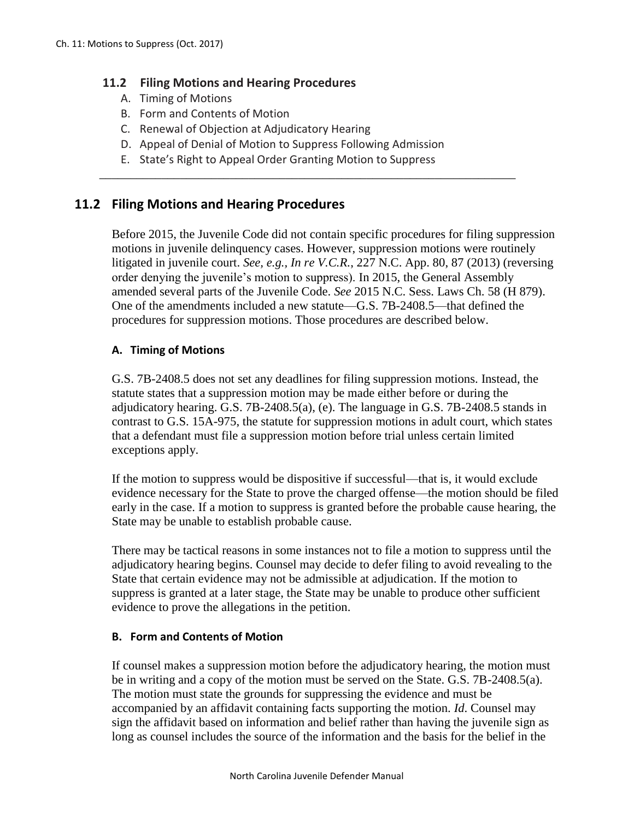## **11.2 Filing Motions and Hearing Procedures**

- A. Timing of Motions
- B. Form and Contents of Motion
- C. Renewal of Objection at Adjudicatory Hearing
- D. Appeal of Denial of Motion to Suppress Following Admission

\_\_\_\_\_\_\_\_\_\_\_\_\_\_\_\_\_\_\_\_\_\_\_\_\_\_\_\_\_\_\_\_\_\_\_\_\_\_\_\_\_\_\_\_\_\_\_\_\_\_\_\_\_\_\_\_\_\_\_\_\_\_\_\_\_\_\_

E. State's Right to Appeal Order Granting Motion to Suppress

# **11.2 Filing Motions and Hearing Procedures**

Before 2015, the Juvenile Code did not contain specific procedures for filing suppression motions in juvenile delinquency cases. However, suppression motions were routinely litigated in juvenile court. *See, e.g., In re V.C.R.*, 227 N.C. App. 80, 87 (2013) (reversing order denying the juvenile's motion to suppress). In 2015, the General Assembly amended several parts of the Juvenile Code. *See* 2015 N.C. Sess. Laws Ch. 58 (H 879). One of the amendments included a new statute—G.S. 7B-2408.5—that defined the procedures for suppression motions. Those procedures are described below.

### **A. Timing of Motions**

G.S. 7B-2408.5 does not set any deadlines for filing suppression motions. Instead, the statute states that a suppression motion may be made either before or during the adjudicatory hearing. G.S. 7B-2408.5(a), (e). The language in G.S. 7B-2408.5 stands in contrast to G.S. 15A-975, the statute for suppression motions in adult court, which states that a defendant must file a suppression motion before trial unless certain limited exceptions apply.

If the motion to suppress would be dispositive if successful—that is, it would exclude evidence necessary for the State to prove the charged offense—the motion should be filed early in the case. If a motion to suppress is granted before the probable cause hearing, the State may be unable to establish probable cause.

There may be tactical reasons in some instances not to file a motion to suppress until the adjudicatory hearing begins. Counsel may decide to defer filing to avoid revealing to the State that certain evidence may not be admissible at adjudication. If the motion to suppress is granted at a later stage, the State may be unable to produce other sufficient evidence to prove the allegations in the petition.

### **B. Form and Contents of Motion**

If counsel makes a suppression motion before the adjudicatory hearing, the motion must be in writing and a copy of the motion must be served on the State. G.S. 7B-2408.5(a). The motion must state the grounds for suppressing the evidence and must be accompanied by an affidavit containing facts supporting the motion. *Id*. Counsel may sign the affidavit based on information and belief rather than having the juvenile sign as long as counsel includes the source of the information and the basis for the belief in the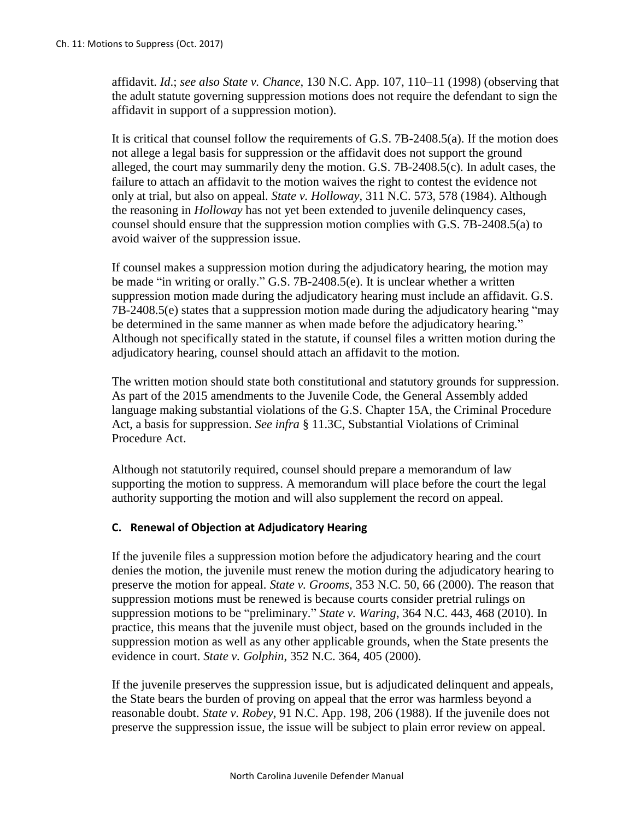affidavit. *Id*.; *see also State v. Chance*, 130 N.C. App. 107, 110–11 (1998) (observing that the adult statute governing suppression motions does not require the defendant to sign the affidavit in support of a suppression motion).

It is critical that counsel follow the requirements of G.S. 7B-2408.5(a). If the motion does not allege a legal basis for suppression or the affidavit does not support the ground alleged, the court may summarily deny the motion. G.S. 7B-2408.5(c). In adult cases, the failure to attach an affidavit to the motion waives the right to contest the evidence not only at trial, but also on appeal. *State v. Holloway*, 311 N.C. 573, 578 (1984). Although the reasoning in *Holloway* has not yet been extended to juvenile delinquency cases, counsel should ensure that the suppression motion complies with G.S. 7B-2408.5(a) to avoid waiver of the suppression issue.

If counsel makes a suppression motion during the adjudicatory hearing, the motion may be made "in writing or orally." G.S. 7B-2408.5(e). It is unclear whether a written suppression motion made during the adjudicatory hearing must include an affidavit. G.S. 7B-2408.5(e) states that a suppression motion made during the adjudicatory hearing "may be determined in the same manner as when made before the adjudicatory hearing." Although not specifically stated in the statute, if counsel files a written motion during the adjudicatory hearing, counsel should attach an affidavit to the motion.

The written motion should state both constitutional and statutory grounds for suppression. As part of the 2015 amendments to the Juvenile Code, the General Assembly added language making substantial violations of the G.S. Chapter 15A, the Criminal Procedure Act, a basis for suppression. *See infra* § 11.3C, Substantial Violations of Criminal Procedure Act.

Although not statutorily required, counsel should prepare a memorandum of law supporting the motion to suppress. A memorandum will place before the court the legal authority supporting the motion and will also supplement the record on appeal.

### **C. Renewal of Objection at Adjudicatory Hearing**

If the juvenile files a suppression motion before the adjudicatory hearing and the court denies the motion, the juvenile must renew the motion during the adjudicatory hearing to preserve the motion for appeal. *State v. Grooms*, 353 N.C. 50, 66 (2000). The reason that suppression motions must be renewed is because courts consider pretrial rulings on suppression motions to be "preliminary." *State v. Waring*, 364 N.C. 443, 468 (2010). In practice, this means that the juvenile must object, based on the grounds included in the suppression motion as well as any other applicable grounds, when the State presents the evidence in court. *State v. Golphin*, 352 N.C. 364, 405 (2000).

If the juvenile preserves the suppression issue, but is adjudicated delinquent and appeals, the State bears the burden of proving on appeal that the error was harmless beyond a reasonable doubt. *State v. Robey*, 91 N.C. App. 198, 206 (1988). If the juvenile does not preserve the suppression issue, the issue will be subject to plain error review on appeal.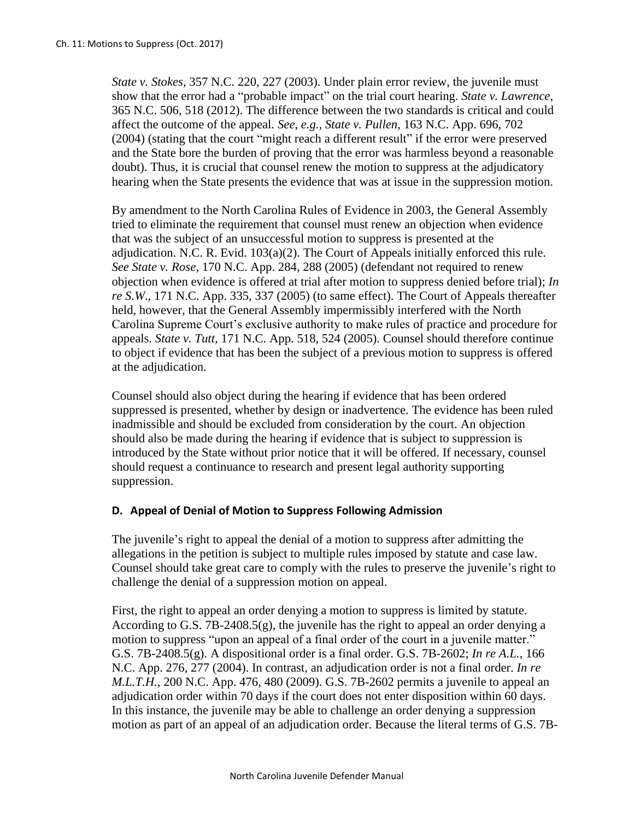*State v. Stokes*, 357 N.C. 220, 227 (2003). Under plain error review, the juvenile must show that the error had a "probable impact" on the trial court hearing. *State v. Lawrence*, 365 N.C. 506, 518 (2012). The difference between the two standards is critical and could affect the outcome of the appeal. *See, e.g., State v. Pullen*, 163 N.C. App. 696, 702 (2004) (stating that the court "might reach a different result" if the error were preserved and the State bore the burden of proving that the error was harmless beyond a reasonable doubt). Thus, it is crucial that counsel renew the motion to suppress at the adjudicatory hearing when the State presents the evidence that was at issue in the suppression motion.

By amendment to the North Carolina Rules of Evidence in 2003, the General Assembly tried to eliminate the requirement that counsel must renew an objection when evidence that was the subject of an unsuccessful motion to suppress is presented at the adjudication. N.C. R. Evid.  $103(a)(2)$ . The Court of Appeals initially enforced this rule. *See State v. Rose*, 170 N.C. App. 284, 288 (2005) (defendant not required to renew objection when evidence is offered at trial after motion to suppress denied before trial); *In re S.W*., 171 N.C. App. 335, 337 (2005) (to same effect). The Court of Appeals thereafter held, however, that the General Assembly impermissibly interfered with the North Carolina Supreme Court's exclusive authority to make rules of practice and procedure for appeals. *State v. Tutt,* 171 N.C. App. 518, 524 (2005). Counsel should therefore continue to object if evidence that has been the subject of a previous motion to suppress is offered at the adjudication.

Counsel should also object during the hearing if evidence that has been ordered suppressed is presented, whether by design or inadvertence. The evidence has been ruled inadmissible and should be excluded from consideration by the court. An objection should also be made during the hearing if evidence that is subject to suppression is introduced by the State without prior notice that it will be offered. If necessary, counsel should request a continuance to research and present legal authority supporting suppression.

### **D. Appeal of Denial of Motion to Suppress Following Admission**

The juvenile's right to appeal the denial of a motion to suppress after admitting the allegations in the petition is subject to multiple rules imposed by statute and case law. Counsel should take great care to comply with the rules to preserve the juvenile's right to challenge the denial of a suppression motion on appeal.

First, the right to appeal an order denying a motion to suppress is limited by statute. According to G.S. 7B-2408.5(g), the juvenile has the right to appeal an order denying a motion to suppress "upon an appeal of a final order of the court in a juvenile matter." G.S. 7B-2408.5(g). A dispositional order is a final order. G.S. 7B-2602; *In re A.L.*, 166 N.C. App. 276, 277 (2004). In contrast, an adjudication order is not a final order. *In re M.L.T.H.*, 200 N.C. App. 476, 480 (2009). G.S. 7B-2602 permits a juvenile to appeal an adjudication order within 70 days if the court does not enter disposition within 60 days. In this instance, the juvenile may be able to challenge an order denying a suppression motion as part of an appeal of an adjudication order. Because the literal terms of G.S. 7B-